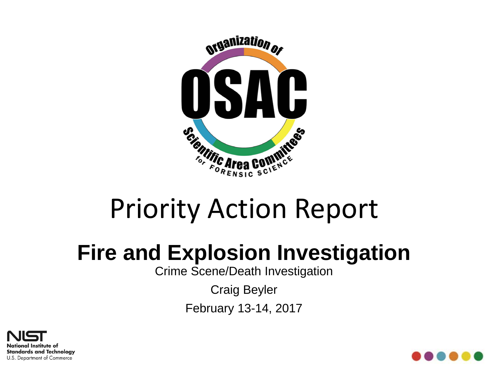

# Priority Action Report

### **Fire and Explosion Investigation**

Crime Scene/Death Investigation

Craig Beyler

February 13-14, 2017



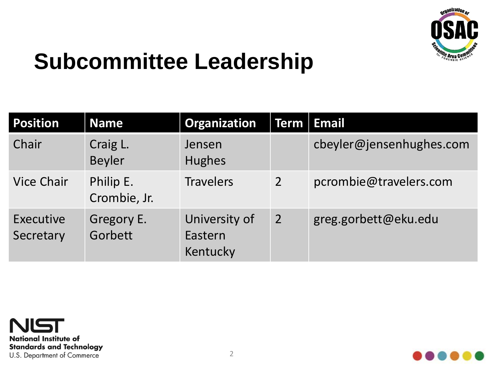

### **Subcommittee Leadership**

| <b>Position</b>        | <b>Name</b>               | <b>Organization</b>                  |                | Term   Email             |
|------------------------|---------------------------|--------------------------------------|----------------|--------------------------|
| Chair                  | Craig L.<br><b>Beyler</b> | Jensen<br><b>Hughes</b>              |                | cbeyler@jensenhughes.com |
| <b>Vice Chair</b>      | Philip E.<br>Crombie, Jr. | <b>Travelers</b>                     | $\overline{2}$ | pcrombie@travelers.com   |
| Executive<br>Secretary | Gregory E.<br>Gorbett     | University of<br>Eastern<br>Kentucky | $\overline{2}$ | greg.gorbett@eku.edu     |



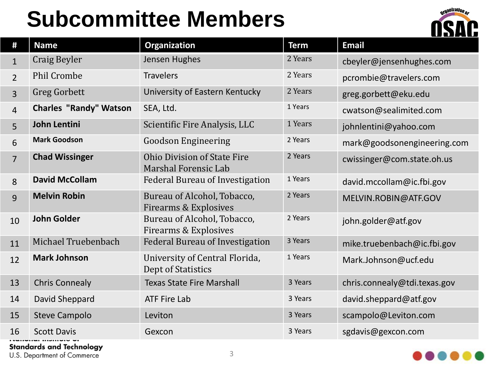## **Subcommittee Members**



| #              | <b>Name</b>                   | Organization                                                    | <b>Term</b> | <b>Email</b>                 |
|----------------|-------------------------------|-----------------------------------------------------------------|-------------|------------------------------|
| $\mathbf{1}$   | Craig Beyler                  | Jensen Hughes                                                   | 2 Years     | cbeyler@jensenhughes.com     |
| $\overline{2}$ | <b>Phil Crombe</b>            | <b>Travelers</b>                                                | 2 Years     | pcrombie@travelers.com       |
| $\overline{3}$ | <b>Greg Gorbett</b>           | University of Eastern Kentucky                                  | 2 Years     | greg.gorbett@eku.edu         |
| $\overline{4}$ | <b>Charles "Randy" Watson</b> | SEA, Ltd.                                                       | 1 Years     | cwatson@sealimited.com       |
| 5              | John Lentini                  | Scientific Fire Analysis, LLC                                   | 1 Years     | johnlentini@yahoo.com        |
| 6              | <b>Mark Goodson</b>           | <b>Goodson Engineering</b>                                      | 2 Years     | mark@goodsonengineering.com  |
| $\overline{7}$ | <b>Chad Wissinger</b>         | <b>Ohio Division of State Fire</b><br>Marshal Forensic Lab      | 2 Years     | cwissinger@com.state.oh.us   |
| 8              | <b>David McCollam</b>         | <b>Federal Bureau of Investigation</b>                          | 1 Years     | david.mccollam@ic.fbi.gov    |
| 9              | <b>Melvin Robin</b>           | Bureau of Alcohol, Tobacco,<br><b>Firearms &amp; Explosives</b> | 2 Years     | MELVIN.ROBIN@ATF.GOV         |
| 10             | <b>John Golder</b>            | Bureau of Alcohol, Tobacco,<br><b>Firearms &amp; Explosives</b> | 2 Years     | john.golder@atf.gov          |
| 11             | Michael Truebenbach           | Federal Bureau of Investigation                                 | 3 Years     | mike.truebenbach@ic.fbi.gov  |
| 12             | <b>Mark Johnson</b>           | University of Central Florida,<br>Dept of Statistics            | 1 Years     | Mark.Johnson@ucf.edu         |
| 13             | <b>Chris Connealy</b>         | <b>Texas State Fire Marshall</b>                                | 3 Years     | chris.connealy@tdi.texas.gov |
| 14             | David Sheppard                | <b>ATF Fire Lab</b>                                             | 3 Years     | david.sheppard@atf.gov       |
| 15             | <b>Steve Campolo</b>          | Leviton                                                         | 3 Years     | scampolo@Leviton.com         |
| 16             | <b>Scott Davis</b>            | Gexcon                                                          | 3 Years     | sgdavis@gexcon.com           |

**Standards and Technology** 

U.S. Department of Commerce

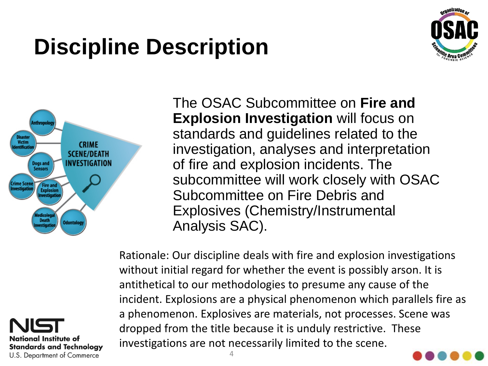## **Discipline Description**







The OSAC Subcommittee on **Fire and Explosion Investigation will focus on** standards and guidelines related to the investigation, analyses and interpretation of fire and explosion incidents. The subcommittee will work closely with OSAC Subcommittee on Fire Debris and Explosives (Chemistry/Instrumental Analysis SAC).

Rationale: Our discipline deals with fire and explosion investigations without initial regard for whether the event is possibly arson. It is antithetical to our methodologies to presume any cause of the incident. Explosions are a physical phenomenon which parallels fire as a phenomenon. Explosives are materials, not processes. Scene was dropped from the title because it is unduly restrictive. These investigations are not necessarily limited to the scene.

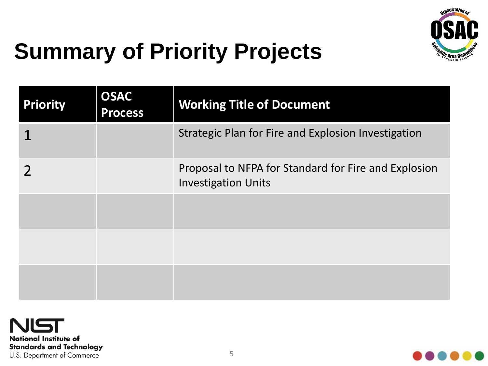

## **Summary of Priority Projects**

| <b>Priority</b> | <b>OSAC</b><br><b>Process</b> | <b>Working Title of Document</b>                                                   |
|-----------------|-------------------------------|------------------------------------------------------------------------------------|
|                 |                               | Strategic Plan for Fire and Explosion Investigation                                |
|                 |                               | Proposal to NFPA for Standard for Fire and Explosion<br><b>Investigation Units</b> |
|                 |                               |                                                                                    |
|                 |                               |                                                                                    |
|                 |                               |                                                                                    |



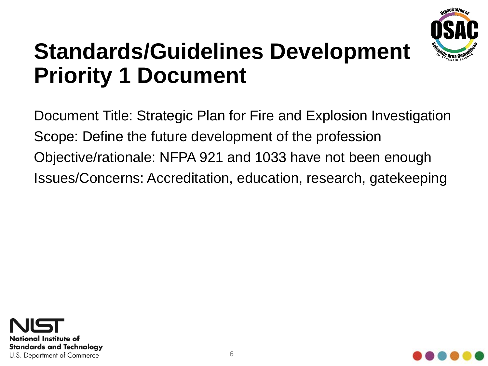

### **Standards/Guidelines Development Priority 1 Document**

Document Title: Strategic Plan for Fire and Explosion Investigation Scope: Define the future development of the profession Objective/rationale: NFPA 921 and 1033 have not been enough Issues/Concerns: Accreditation, education, research, gatekeeping



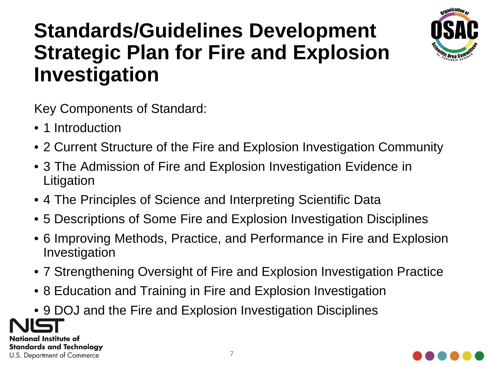#### **Standards/Guidelines Development Strategic Plan for Fire and Explosion Investigation**



Key Components of Standard:

- 1 Introduction
- 2 Current Structure of the Fire and Explosion Investigation Community
- 3 The Admission of Fire and Explosion Investigation Evidence in Litigation
- 4 The Principles of Science and Interpreting Scientific Data
- 5 Descriptions of Some Fire and Explosion Investigation Disciplines
- 6 Improving Methods, Practice, and Performance in Fire and Explosion Investigation
- 7 Strengthening Oversight of Fire and Explosion Investigation Practice
- 8 Education and Training in Fire and Explosion Investigation
- 9 DOJ and the Fire and Explosion Investigation Disciplines

National Institute of **Standards and Technology** U.S. Department of Commerce

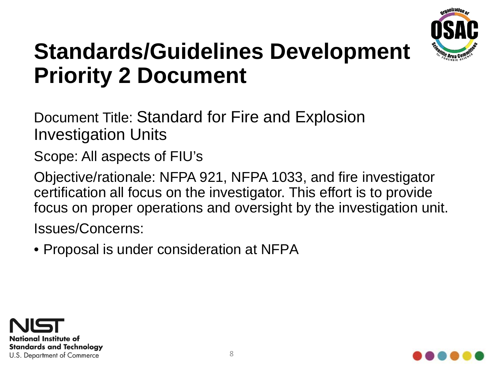

### **Standards/Guidelines Development Priority 2 Document**

Document Title: Standard for Fire and Explosion Investigation Units

Scope: All aspects of FIU's

Objective/rationale: NFPA 921, NFPA 1033, and fire investigator certification all focus on the investigator. This effort is to provide focus on proper operations and oversight by the investigation unit. Issues/Concerns:

• Proposal is under consideration at NFPA